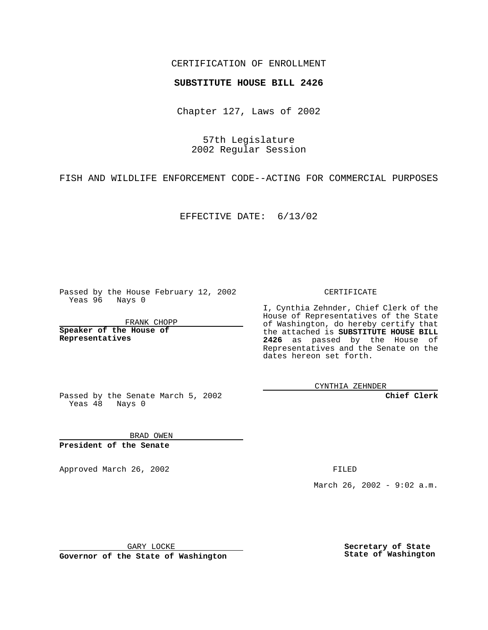## CERTIFICATION OF ENROLLMENT

## **SUBSTITUTE HOUSE BILL 2426**

Chapter 127, Laws of 2002

57th Legislature 2002 Regular Session

FISH AND WILDLIFE ENFORCEMENT CODE--ACTING FOR COMMERCIAL PURPOSES

EFFECTIVE DATE: 6/13/02

Passed by the House February 12, 2002 Yeas 96 Nays 0

FRANK CHOPP

**Speaker of the House of Representatives**

CERTIFICATE

I, Cynthia Zehnder, Chief Clerk of the House of Representatives of the State of Washington, do hereby certify that the attached is **SUBSTITUTE HOUSE BILL 2426** as passed by the House of Representatives and the Senate on the dates hereon set forth.

CYNTHIA ZEHNDER

**Chief Clerk**

Passed by the Senate March 5, 2002 Yeas  $48$  Nays 0

BRAD OWEN **President of the Senate**

Approved March 26, 2002 **FILED** 

March 26, 2002 - 9:02 a.m.

GARY LOCKE

**Governor of the State of Washington**

**Secretary of State State of Washington**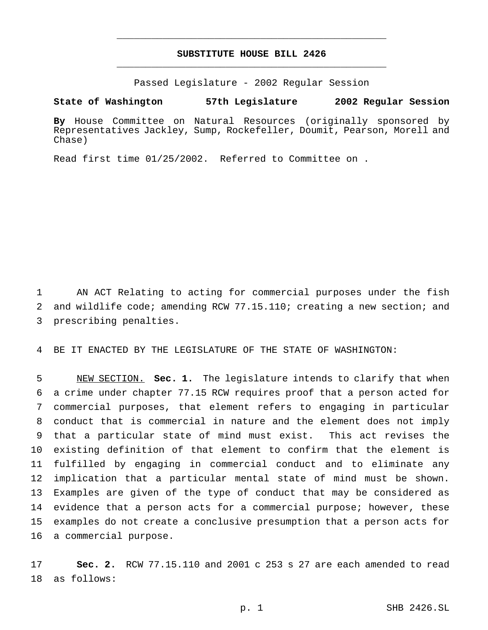## **SUBSTITUTE HOUSE BILL 2426** \_\_\_\_\_\_\_\_\_\_\_\_\_\_\_\_\_\_\_\_\_\_\_\_\_\_\_\_\_\_\_\_\_\_\_\_\_\_\_\_\_\_\_\_\_\_\_

\_\_\_\_\_\_\_\_\_\_\_\_\_\_\_\_\_\_\_\_\_\_\_\_\_\_\_\_\_\_\_\_\_\_\_\_\_\_\_\_\_\_\_\_\_\_\_

Passed Legislature - 2002 Regular Session

**State of Washington 57th Legislature 2002 Regular Session**

**By** House Committee on Natural Resources (originally sponsored by Representatives Jackley, Sump, Rockefeller, Doumit, Pearson, Morell and Chase)

Read first time 01/25/2002. Referred to Committee on .

 AN ACT Relating to acting for commercial purposes under the fish and wildlife code; amending RCW 77.15.110; creating a new section; and prescribing penalties.

BE IT ENACTED BY THE LEGISLATURE OF THE STATE OF WASHINGTON:

 NEW SECTION. **Sec. 1.** The legislature intends to clarify that when a crime under chapter 77.15 RCW requires proof that a person acted for commercial purposes, that element refers to engaging in particular conduct that is commercial in nature and the element does not imply that a particular state of mind must exist. This act revises the existing definition of that element to confirm that the element is fulfilled by engaging in commercial conduct and to eliminate any implication that a particular mental state of mind must be shown. Examples are given of the type of conduct that may be considered as evidence that a person acts for a commercial purpose; however, these examples do not create a conclusive presumption that a person acts for a commercial purpose.

 **Sec. 2.** RCW 77.15.110 and 2001 c 253 s 27 are each amended to read as follows: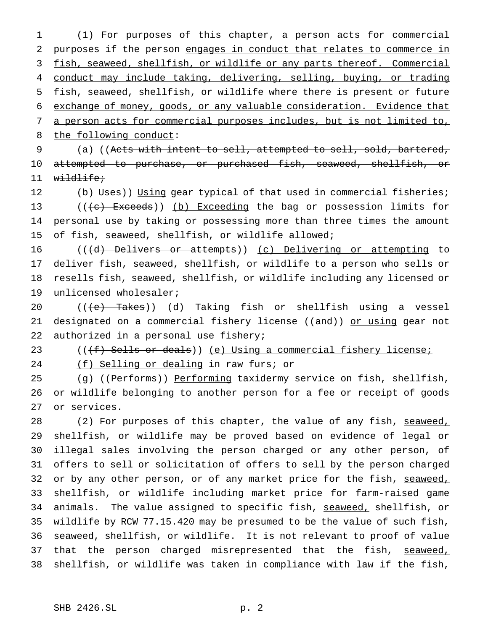(1) For purposes of this chapter, a person acts for commercial purposes if the person engages in conduct that relates to commerce in fish, seaweed, shellfish, or wildlife or any parts thereof. Commercial conduct may include taking, delivering, selling, buying, or trading fish, seaweed, shellfish, or wildlife where there is present or future exchange of money, goods, or any valuable consideration. Evidence that a person acts for commercial purposes includes, but is not limited to, 8 the following conduct:

 (a) ((Acts with intent to sell, attempted to sell, sold, bartered, attempted to purchase, or purchased fish, seaweed, shellfish, or wildlife;

12 (b) Uses)) Using gear typical of that used in commercial fisheries;  $((e)$  Exceeds)) (b) Exceeding the bag or possession limits for personal use by taking or possessing more than three times the amount of fish, seaweed, shellfish, or wildlife allowed;

16 (((d) Delivers or attempts)) (c) Delivering or attempting to deliver fish, seaweed, shellfish, or wildlife to a person who sells or resells fish, seaweed, shellfish, or wildlife including any licensed or unlicensed wholesaler;

 $((e)$  Takes)) (d) Taking fish or shellfish using a vessel 21 designated on a commercial fishery license ((and)) or using gear not authorized in a personal use fishery;

23 ((<del>(f) Sells or deals</del>)) <u>(e) Using a commercial fishery license;</u>

(f) Selling or dealing in raw furs; or

25 (g) ((Performs)) Performing taxidermy service on fish, shellfish, or wildlife belonging to another person for a fee or receipt of goods or services.

28 (2) For purposes of this chapter, the value of any fish, seaweed, shellfish, or wildlife may be proved based on evidence of legal or illegal sales involving the person charged or any other person, of offers to sell or solicitation of offers to sell by the person charged 32 or by any other person, or of any market price for the fish, seaweed, shellfish, or wildlife including market price for farm-raised game 34 animals. The value assigned to specific fish, seaweed, shellfish, or wildlife by RCW 77.15.420 may be presumed to be the value of such fish, 36 seaweed, shellfish, or wildlife. It is not relevant to proof of value 37 that the person charged misrepresented that the fish, seaweed, shellfish, or wildlife was taken in compliance with law if the fish,